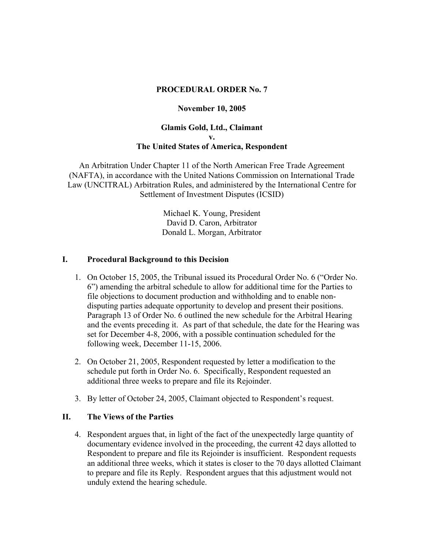# **PROCEDURAL ORDER No. 7**

#### **November 10, 2005**

# **Glamis Gold, Ltd., Claimant v. The United States of America, Respondent**

An Arbitration Under Chapter 11 of the North American Free Trade Agreement (NAFTA), in accordance with the United Nations Commission on International Trade Law (UNCITRAL) Arbitration Rules, and administered by the International Centre for Settlement of Investment Disputes (ICSID)

> Michael K. Young, President David D. Caron, Arbitrator Donald L. Morgan, Arbitrator

## **I. Procedural Background to this Decision**

- 1. On October 15, 2005, the Tribunal issued its Procedural Order No. 6 ("Order No. 6") amending the arbitral schedule to allow for additional time for the Parties to file objections to document production and withholding and to enable nondisputing parties adequate opportunity to develop and present their positions. Paragraph 13 of Order No. 6 outlined the new schedule for the Arbitral Hearing and the events preceding it. As part of that schedule, the date for the Hearing was set for December 4-8, 2006, with a possible continuation scheduled for the following week, December 11-15, 2006.
- 2. On October 21, 2005, Respondent requested by letter a modification to the schedule put forth in Order No. 6. Specifically, Respondent requested an additional three weeks to prepare and file its Rejoinder.
- 3. By letter of October 24, 2005, Claimant objected to Respondent's request.

# **II. The Views of the Parties**

4. Respondent argues that, in light of the fact of the unexpectedly large quantity of documentary evidence involved in the proceeding, the current 42 days allotted to Respondent to prepare and file its Rejoinder is insufficient. Respondent requests an additional three weeks, which it states is closer to the 70 days allotted Claimant to prepare and file its Reply. Respondent argues that this adjustment would not unduly extend the hearing schedule.